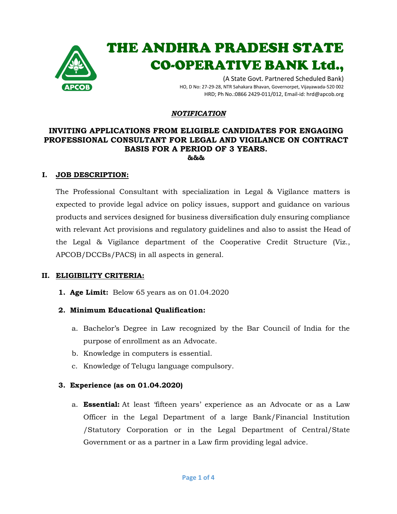

# THE ANDHRA PRADESH STATE CO-OPERATIVE BANK Ltd.,

(A State Govt. Partnered Scheduled Bank) HO, D No: 27-29-28, NTR Sahakara Bhavan, Governorpet, Vijayawada-520 002 HRD; Ph No.:0866 2429-011/012, Email-id: hrd@apcob.org

#### *NOTIFICATION*

## **INVITING APPLICATIONS FROM ELIGIBLE CANDIDATES FOR ENGAGING PROFESSIONAL CONSULTANT FOR LEGAL AND VIGILANCE ON CONTRACT BASIS FOR A PERIOD OF 3 YEARS. &&&**

#### **I. JOB DESCRIPTION:**

The Professional Consultant with specialization in Legal & Vigilance matters is expected to provide legal advice on policy issues, support and guidance on various products and services designed for business diversification duly ensuring compliance with relevant Act provisions and regulatory guidelines and also to assist the Head of the Legal & Vigilance department of the Cooperative Credit Structure (Viz., APCOB/DCCBs/PACS) in all aspects in general.

#### **II. ELIGIBILITY CRITERIA:**

**1. Age Limit:** Below 65 years as on 01.04.2020

## **2. Minimum Educational Qualification:**

- a. Bachelor's Degree in Law recognized by the Bar Council of India for the purpose of enrollment as an Advocate.
- b. Knowledge in computers is essential.
- c. Knowledge of Telugu language compulsory.

## **3. Experience (as on 01.04.2020)**

a. **Essential:** At least 'fifteen years' experience as an Advocate or as a Law Officer in the Legal Department of a large Bank/Financial Institution /Statutory Corporation or in the Legal Department of Central/State Government or as a partner in a Law firm providing legal advice.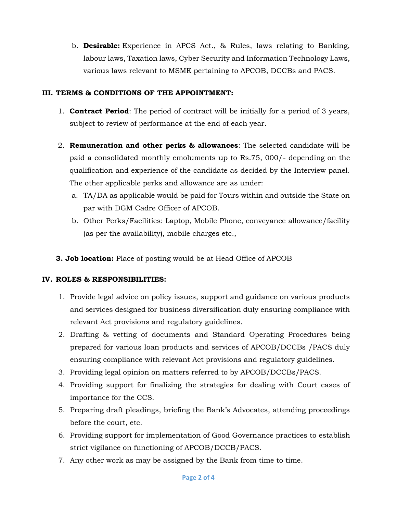b. **Desirable:** Experience in APCS Act., & Rules, laws relating to Banking, labour laws, Taxation laws, Cyber Security and Information Technology Laws, various laws relevant to MSME pertaining to APCOB, DCCBs and PACS.

## **III. TERMS & CONDITIONS OF THE APPOINTMENT:**

- 1. **Contract Period**: The period of contract will be initially for a period of 3 years, subject to review of performance at the end of each year.
- 2. **Remuneration and other perks & allowances**: The selected candidate will be paid a consolidated monthly emoluments up to Rs.75, 000/- depending on the qualification and experience of the candidate as decided by the Interview panel. The other applicable perks and allowance are as under:
	- a. TA/DA as applicable would be paid for Tours within and outside the State on par with DGM Cadre Officer of APCOB.
	- b. Other Perks/Facilities: Laptop, Mobile Phone, conveyance allowance/facility (as per the availability), mobile charges etc.,

**3. Job location:** Place of posting would be at Head Office of APCOB

# **IV. ROLES & RESPONSIBILITIES:**

- 1. Provide legal advice on policy issues, support and guidance on various products and services designed for business diversification duly ensuring compliance with relevant Act provisions and regulatory guidelines.
- 2. Drafting & vetting of documents and Standard Operating Procedures being prepared for various loan products and services of APCOB/DCCBs /PACS duly ensuring compliance with relevant Act provisions and regulatory guidelines.
- 3. Providing legal opinion on matters referred to by APCOB/DCCBs/PACS.
- 4. Providing support for finalizing the strategies for dealing with Court cases of importance for the CCS.
- 5. Preparing draft pleadings, briefing the Bank's Advocates, attending proceedings before the court, etc.
- 6. Providing support for implementation of Good Governance practices to establish strict vigilance on functioning of APCOB/DCCB/PACS.
- 7. Any other work as may be assigned by the Bank from time to time.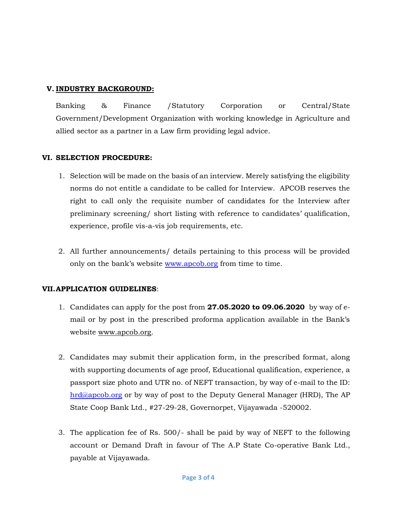# **V. INDUSTRY BACKGROUND:**

Banking & Finance /Statutory Corporation or Central/State Government/Development Organization with working knowledge in Agriculture and allied sector as a partner in a Law firm providing legal advice.

## **VI. SELECTION PROCEDURE:**

- 1. Selection will be made on the basis of an interview. Merely satisfying the eligibility norms do not entitle a candidate to be called for Interview. APCOB reserves the right to call only the requisite number of candidates for the Interview after preliminary screening/ short listing with reference to candidates' qualification, experience, profile vis-a-vis job requirements, etc.
- 2. All further announcements/ details pertaining to this process will be provided only on the bank's website [www.apcob.org](http://www.apcob.org/) from time to time.

# **VII.APPLICATION GUIDELINES**:

- 1. Candidates can apply for the post from **27.05.2020 to 09.06.2020** by way of email or by post in the prescribed proforma application available in the Bank's website [www.apcob.org.](http://www.apcob.org/)
- 2. Candidates may submit their application form, in the prescribed format, along with supporting documents of age proof, Educational qualification, experience, a passport size photo and UTR no. of NEFT transaction, by way of e-mail to the ID: [hrd@apcob.org](mailto:hrd@apcob.org) or by way of post to the Deputy General Manager (HRD), The AP State Coop Bank Ltd., #27-29-28, Governorpet, Vijayawada -520002.
- 3. The application fee of Rs. 500/- shall be paid by way of NEFT to the following account or Demand Draft in favour of The A.P State Co-operative Bank Ltd., payable at Vijayawada.